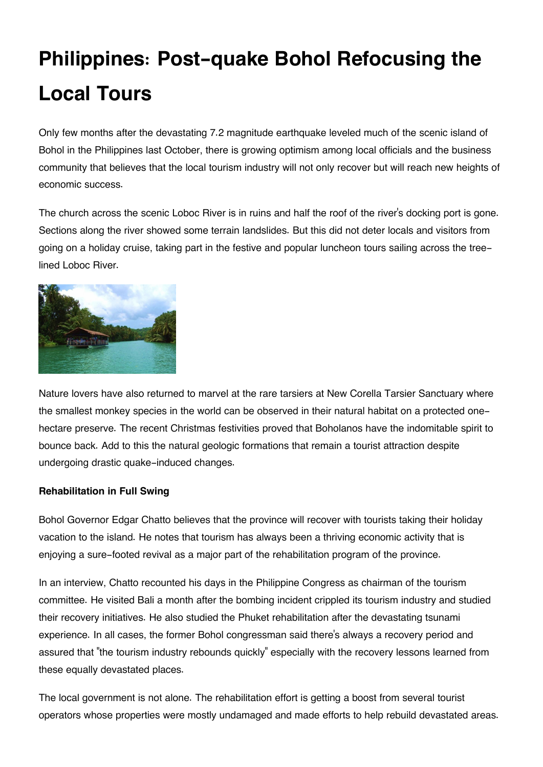# **Philippines: Post-quake Bohol Refocusing the Local Tours**

Only few months after the devastating 7.2 magnitude earthquake leveled much of the scenic island of Bohol in the Philippines last October, there is growing optimism among local officials and the business community that believes that the local tourism industry will not only recover but will reach new heights of economic success.

The church across the scenic Loboc River is in ruins and half the roof of the river's docking port is gone. Sections along the river showed some terrain landslides. But this did not deter locals and visitors from going on a holiday cruise, taking part in the festive and popular luncheon tours sailing across the treelined Loboc River.



Nature lovers have also returned to marvel at the rare tarsiers at New Corella Tarsier Sanctuary where the smallest monkey species in the world can be observed in their natural habitat on a protected onehectare preserve. The recent Christmas festivities proved that Boholanos have the indomitable spirit to bounce back. Add to this the natural geologic formations that remain a tourist attraction despite undergoing drastic quake-induced changes.

### **Rehabilitation in Full Swing**

Bohol Governor Edgar Chatto believes that the province will recover with tourists taking their holiday vacation to the island. He notes that tourism has always been a thriving economic activity that is enjoying a sure-footed revival as a major part of the rehabilitation program of the province.

In an interview, Chatto recounted his days in the Philippine Congress as chairman of the tourism committee. He visited Bali a month after the bombing incident crippled its tourism industry and studied their recovery initiatives. He also studied the Phuket rehabilitation after the devastating tsunami experience. In all cases, the former Bohol congressman said there's always a recovery period and assured that "the tourism industry rebounds quickly" especially with the recovery lessons learned from these equally devastated places.

The local government is not alone. The rehabilitation effort is getting a boost from several tourist operators whose properties were mostly undamaged and made efforts to help rebuild devastated areas.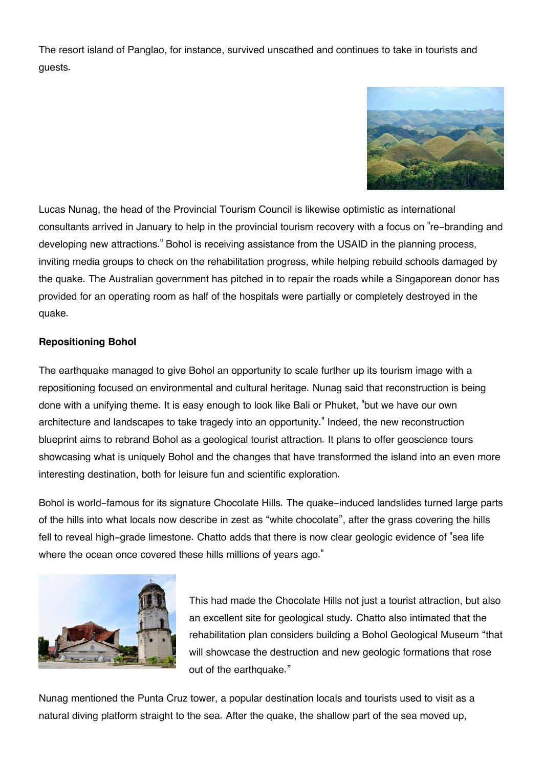The resort island of Panglao, for instance, survived unscathed and continues to take in tourists and guests.



Lucas Nunag, the head of the Provincial Tourism Council is likewise optimistic as international consultants arrived in January to help in the provincial tourism recovery with a focus on "re-branding and developing new attractions." Bohol is receiving assistance from the USAID in the planning process, inviting media groups to check on the rehabilitation progress, while helping rebuild schools damaged by the quake. The Australian government has pitched in to repair the roads while a Singaporean donor has provided for an operating room as half of the hospitals were partially or completely destroyed in the quake.

### **Repositioning Bohol**

The earthquake managed to give Bohol an opportunity to scale further up its tourism image with a repositioning focused on environmental and cultural heritage. Nunag said that reconstruction is being done with a unifying theme. It is easy enough to look like Bali or Phuket, "but we have our own architecture and landscapes to take tragedy into an opportunity." Indeed, the new reconstruction blueprint aims to rebrand Bohol as a geological tourist attraction. It plans to offer geoscience tours showcasing what is uniquely Bohol and the changes that have transformed the island into an even more interesting destination, both for leisure fun and scientific exploration.

Bohol is world-famous for its signature Chocolate Hills. The quake-induced landslides turned large parts of the hills into what locals now describe in zest as "white chocolate", after the grass covering the hills fell to reveal high-grade limestone. Chatto adds that there is now clear geologic evidence of "sea life where the ocean once covered these hills millions of years ago."



This had made the Chocolate Hills not just a tourist attraction, but also an excellent site for geological study. Chatto also intimated that the rehabilitation plan considers building a Bohol Geological Museum "that will showcase the destruction and new geologic formations that rose out of the earthquake."

Nunag mentioned the Punta Cruz tower, a popular destination locals and tourists used to visit as a natural diving platform straight to the sea. After the quake, the shallow part of the sea moved up,